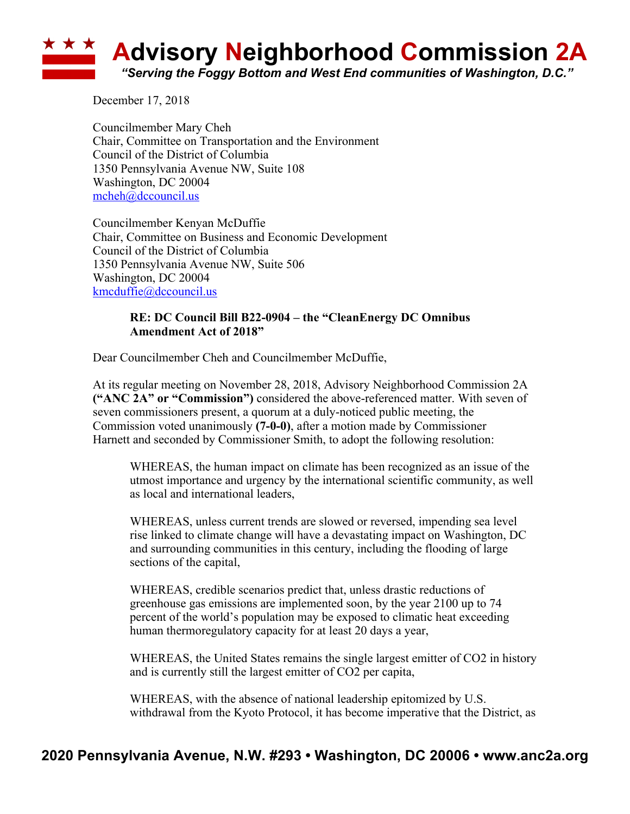## **Advisory Neighborhood Commission 2A** *"Serving the Foggy Bottom and West End communities of Washington, D.C."*

December 17, 2018

Councilmember Mary Cheh Chair, Committee on Transportation and the Environment Council of the District of Columbia 1350 Pennsylvania Avenue NW, Suite 108 Washington, DC 20004 mcheh@dccouncil.us

Councilmember Kenyan McDuffie Chair, Committee on Business and Economic Development Council of the District of Columbia 1350 Pennsylvania Avenue NW, Suite 506 Washington, DC 20004 kmcduffie@dccouncil.us

## **RE: DC Council Bill B22-0904 – the "CleanEnergy DC Omnibus Amendment Act of 2018"**

Dear Councilmember Cheh and Councilmember McDuffie,

At its regular meeting on November 28, 2018, Advisory Neighborhood Commission 2A **("ANC 2A" or "Commission")** considered the above-referenced matter. With seven of seven commissioners present, a quorum at a duly-noticed public meeting, the Commission voted unanimously **(7-0-0)**, after a motion made by Commissioner Harnett and seconded by Commissioner Smith, to adopt the following resolution:

WHEREAS, the human impact on climate has been recognized as an issue of the utmost importance and urgency by the international scientific community, as well as local and international leaders,

WHEREAS, unless current trends are slowed or reversed, impending sea level rise linked to climate change will have a devastating impact on Washington, DC and surrounding communities in this century, including the flooding of large sections of the capital,

WHEREAS, credible scenarios predict that, unless drastic reductions of greenhouse gas emissions are implemented soon, by the year 2100 up to 74 percent of the world's population may be exposed to climatic heat exceeding human thermoregulatory capacity for at least 20 days a year,

WHEREAS, the United States remains the single largest emitter of CO2 in history and is currently still the largest emitter of CO2 per capita,

WHEREAS, with the absence of national leadership epitomized by U.S. withdrawal from the Kyoto Protocol, it has become imperative that the District, as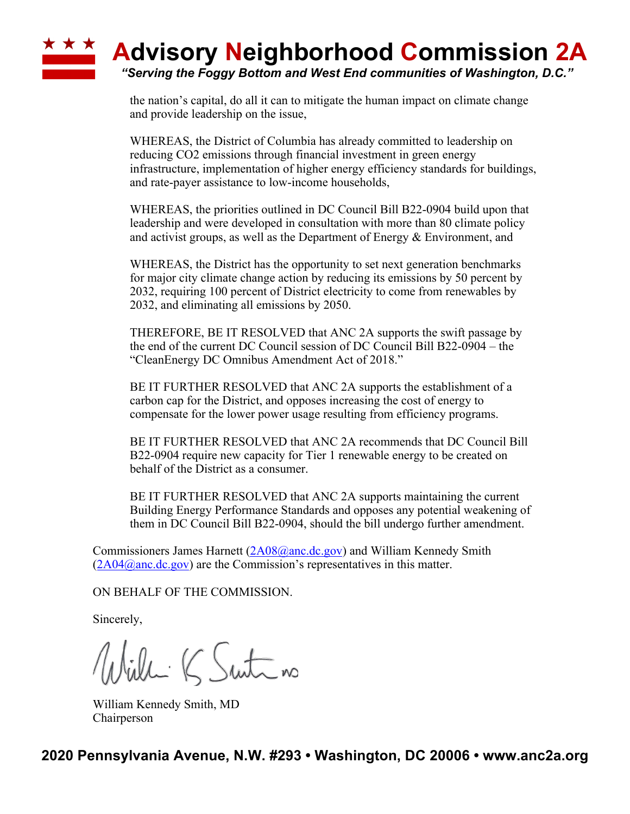## **A Advisory Neighborhood Commission 2A** *"Serving the Foggy Bottom and West End communities of Washington, D.C."*

the nation's capital, do all it can to mitigate the human impact on climate change and provide leadership on the issue,

WHEREAS, the District of Columbia has already committed to leadership on reducing CO2 emissions through financial investment in green energy infrastructure, implementation of higher energy efficiency standards for buildings, and rate-payer assistance to low-income households,

WHEREAS, the priorities outlined in DC Council Bill B22-0904 build upon that leadership and were developed in consultation with more than 80 climate policy and activist groups, as well as the Department of Energy & Environment, and

WHEREAS, the District has the opportunity to set next generation benchmarks for major city climate change action by reducing its emissions by 50 percent by 2032, requiring 100 percent of District electricity to come from renewables by 2032, and eliminating all emissions by 2050.

THEREFORE, BE IT RESOLVED that ANC 2A supports the swift passage by the end of the current DC Council session of DC Council Bill B22-0904 – the "CleanEnergy DC Omnibus Amendment Act of 2018."

BE IT FURTHER RESOLVED that ANC 2A supports the establishment of a carbon cap for the District, and opposes increasing the cost of energy to compensate for the lower power usage resulting from efficiency programs.

BE IT FURTHER RESOLVED that ANC 2A recommends that DC Council Bill B22-0904 require new capacity for Tier 1 renewable energy to be created on behalf of the District as a consumer.

BE IT FURTHER RESOLVED that ANC 2A supports maintaining the current Building Energy Performance Standards and opposes any potential weakening of them in DC Council Bill B22-0904, should the bill undergo further amendment.

Commissioners James Harnett (2A08@anc.dc.gov) and William Kennedy Smith  $(2A04@anc.de.gov)$  are the Commission's representatives in this matter.

ON BEHALF OF THE COMMISSION.

Sincerely,

Willi K Suite no

William Kennedy Smith, MD Chairperson

**2020 Pennsylvania Avenue, N.W. #293 • Washington, DC 20006 • www.anc2a.org**